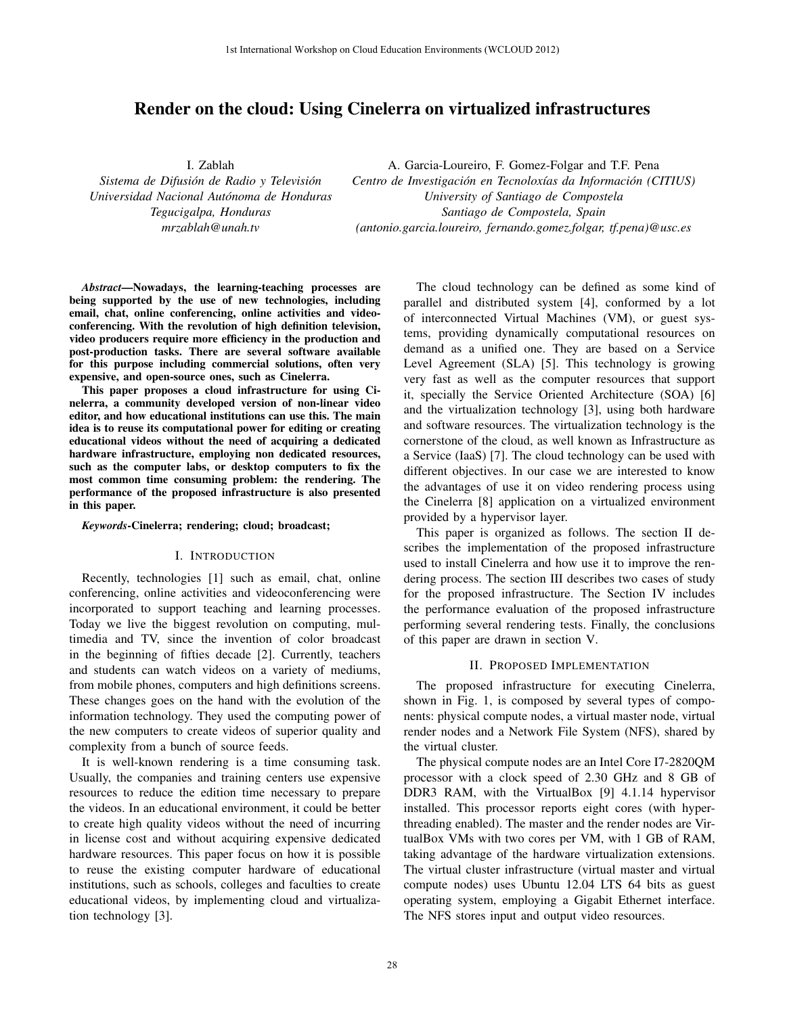# Render on the cloud: Using Cinelerra on virtualized infrastructures

I. Zablah

*Sistema de Difusion de Radio y Televisi ´ on´ Universidad Nacional Autonoma de Honduras ´ Tegucigalpa, Honduras mrzablah@unah.tv*

A. Garcia-Loureiro, F. Gomez-Folgar and T.F. Pena *Centro de Investigación en Tecnoloxías da Información (CITIUS) University of Santiago de Compostela Santiago de Compostela, Spain (antonio.garcia.loureiro, fernando.gomez.folgar, tf.pena)@usc.es*

*Abstract*—Nowadays, the learning-teaching processes are being supported by the use of new technologies, including email, chat, online conferencing, online activities and videoconferencing. With the revolution of high definition television, video producers require more efficiency in the production and post-production tasks. There are several software available for this purpose including commercial solutions, often very expensive, and open-source ones, such as Cinelerra.

This paper proposes a cloud infrastructure for using Cinelerra, a community developed version of non-linear video editor, and how educational institutions can use this. The main idea is to reuse its computational power for editing or creating educational videos without the need of acquiring a dedicated hardware infrastructure, employing non dedicated resources, such as the computer labs, or desktop computers to fix the most common time consuming problem: the rendering. The performance of the proposed infrastructure is also presented in this paper.

#### *Keywords*-Cinelerra; rendering; cloud; broadcast;

## I. INTRODUCTION

Recently, technologies [1] such as email, chat, online conferencing, online activities and videoconferencing were incorporated to support teaching and learning processes. Today we live the biggest revolution on computing, multimedia and TV, since the invention of color broadcast in the beginning of fifties decade [2]. Currently, teachers and students can watch videos on a variety of mediums, from mobile phones, computers and high definitions screens. These changes goes on the hand with the evolution of the information technology. They used the computing power of the new computers to create videos of superior quality and complexity from a bunch of source feeds.

It is well-known rendering is a time consuming task. Usually, the companies and training centers use expensive resources to reduce the edition time necessary to prepare the videos. In an educational environment, it could be better to create high quality videos without the need of incurring in license cost and without acquiring expensive dedicated hardware resources. This paper focus on how it is possible to reuse the existing computer hardware of educational institutions, such as schools, colleges and faculties to create educational videos, by implementing cloud and virtualization technology [3].

The cloud technology can be defined as some kind of parallel and distributed system [4], conformed by a lot of interconnected Virtual Machines (VM), or guest systems, providing dynamically computational resources on demand as a unified one. They are based on a Service Level Agreement (SLA) [5]. This technology is growing very fast as well as the computer resources that support it, specially the Service Oriented Architecture (SOA) [6] and the virtualization technology [3], using both hardware and software resources. The virtualization technology is the cornerstone of the cloud, as well known as Infrastructure as a Service (IaaS) [7]. The cloud technology can be used with different objectives. In our case we are interested to know the advantages of use it on video rendering process using the Cinelerra [8] application on a virtualized environment provided by a hypervisor layer.

This paper is organized as follows. The section II describes the implementation of the proposed infrastructure used to install Cinelerra and how use it to improve the rendering process. The section III describes two cases of study for the proposed infrastructure. The Section IV includes the performance evaluation of the proposed infrastructure performing several rendering tests. Finally, the conclusions of this paper are drawn in section V.

## II. PROPOSED IMPLEMENTATION

The proposed infrastructure for executing Cinelerra, shown in Fig. 1, is composed by several types of components: physical compute nodes, a virtual master node, virtual render nodes and a Network File System (NFS), shared by the virtual cluster.

The physical compute nodes are an Intel Core I7-2820QM processor with a clock speed of 2.30 GHz and 8 GB of DDR3 RAM, with the VirtualBox [9] 4.1.14 hypervisor installed. This processor reports eight cores (with hyperthreading enabled). The master and the render nodes are VirtualBox VMs with two cores per VM, with 1 GB of RAM, taking advantage of the hardware virtualization extensions. The virtual cluster infrastructure (virtual master and virtual compute nodes) uses Ubuntu 12.04 LTS 64 bits as guest operating system, employing a Gigabit Ethernet interface. The NFS stores input and output video resources.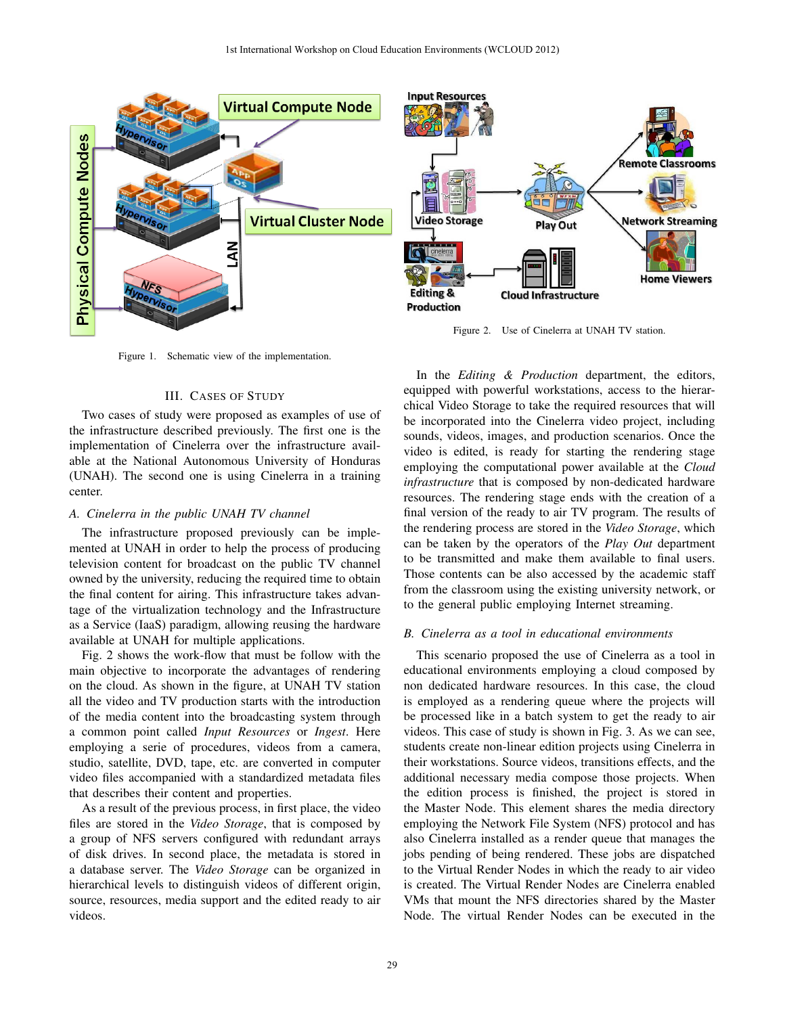**Input Resources** 

**Video Storage** 



Figure 1. Schematic view of the implementation.

# III. CASES OF STUDY

Two cases of study were proposed as examples of use of the infrastructure described previously. The first one is the implementation of Cinelerra over the infrastructure available at the National Autonomous University of Honduras (UNAH). The second one is using Cinelerra in a training center.

## *A. Cinelerra in the public UNAH TV channel*

The infrastructure proposed previously can be implemented at UNAH in order to help the process of producing television content for broadcast on the public TV channel owned by the university, reducing the required time to obtain the final content for airing. This infrastructure takes advantage of the virtualization technology and the Infrastructure as a Service (IaaS) paradigm, allowing reusing the hardware available at UNAH for multiple applications.

Fig. 2 shows the work-flow that must be follow with the main objective to incorporate the advantages of rendering on the cloud. As shown in the figure, at UNAH TV station all the video and TV production starts with the introduction of the media content into the broadcasting system through a common point called *Input Resources* or *Ingest*. Here employing a serie of procedures, videos from a camera, studio, satellite, DVD, tape, etc. are converted in computer video files accompanied with a standardized metadata files that describes their content and properties.

As a result of the previous process, in first place, the video files are stored in the *Video Storage*, that is composed by a group of NFS servers configured with redundant arrays of disk drives. In second place, the metadata is stored in a database server. The *Video Storage* can be organized in hierarchical levels to distinguish videos of different origin, source, resources, media support and the edited ready to air videos.

Play Out cinelerra **Home Viewers Editing & Cloud Infrastructure Production** Figure 2. Use of Cinelerra at UNAH TV station. In the *Editing & Production* department, the editors, equipped with powerful workstations, access to the hierarchical Video Storage to take the required resources that will be incorporated into the Cinelerra video project, including sounds, videos, images, and production scenarios. Once the video is edited, is ready for starting the rendering stage employing the computational power available at the *Cloud infrastructure* that is composed by non-dedicated hardware resources. The rendering stage ends with the creation of a final version of the ready to air TV program. The results of the rendering process are stored in the *Video Storage*, which can be taken by the operators of the *Play Out* department to be transmitted and make them available to final users. Those contents can be also accessed by the academic staff

**Remote Classrooms** 

**Network Streaming** 

# *B. Cinelerra as a tool in educational environments*

to the general public employing Internet streaming.

from the classroom using the existing university network, or

This scenario proposed the use of Cinelerra as a tool in educational environments employing a cloud composed by non dedicated hardware resources. In this case, the cloud is employed as a rendering queue where the projects will be processed like in a batch system to get the ready to air videos. This case of study is shown in Fig. 3. As we can see, students create non-linear edition projects using Cinelerra in their workstations. Source videos, transitions effects, and the additional necessary media compose those projects. When the edition process is finished, the project is stored in the Master Node. This element shares the media directory employing the Network File System (NFS) protocol and has also Cinelerra installed as a render queue that manages the jobs pending of being rendered. These jobs are dispatched to the Virtual Render Nodes in which the ready to air video is created. The Virtual Render Nodes are Cinelerra enabled VMs that mount the NFS directories shared by the Master Node. The virtual Render Nodes can be executed in the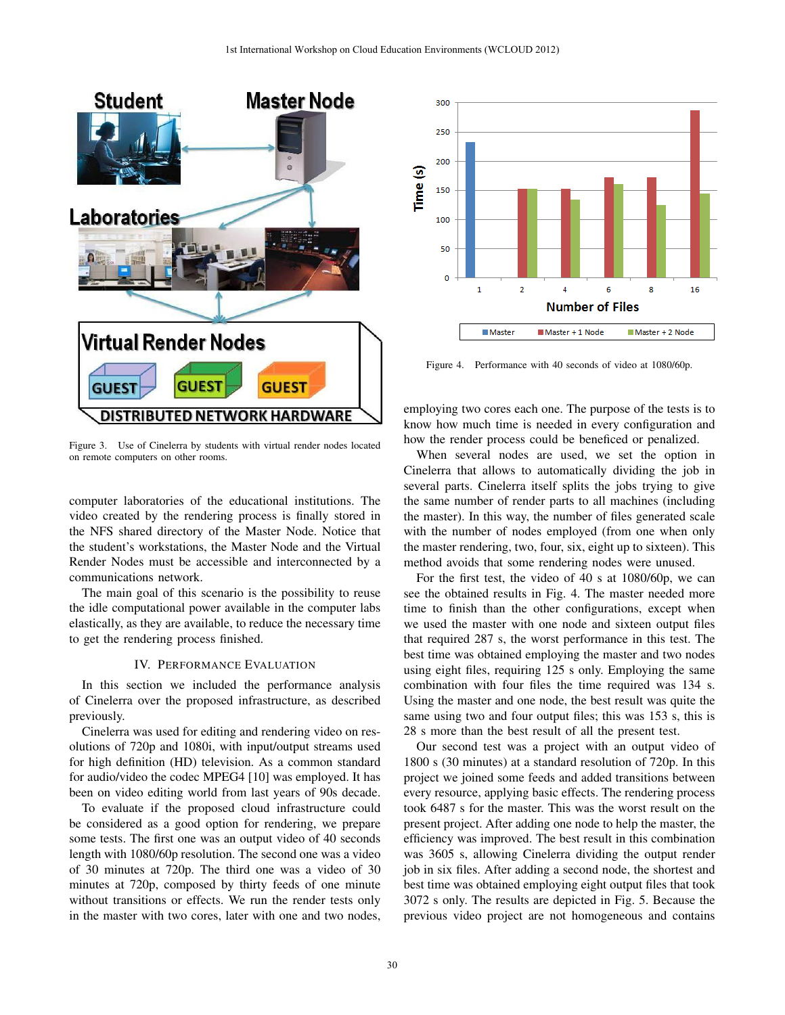

Figure 3. Use of Cinelerra by students with virtual render nodes located on remote computers on other rooms.

computer laboratories of the educational institutions. The video created by the rendering process is finally stored in the NFS shared directory of the Master Node. Notice that the student's workstations, the Master Node and the Virtual Render Nodes must be accessible and interconnected by a communications network.

The main goal of this scenario is the possibility to reuse the idle computational power available in the computer labs elastically, as they are available, to reduce the necessary time to get the rendering process finished.

# IV. PERFORMANCE EVALUATION

In this section we included the performance analysis of Cinelerra over the proposed infrastructure, as described previously.

Cinelerra was used for editing and rendering video on resolutions of 720p and 1080i, with input/output streams used for high definition (HD) television. As a common standard for audio/video the codec MPEG4 [10] was employed. It has been on video editing world from last years of 90s decade.

To evaluate if the proposed cloud infrastructure could be considered as a good option for rendering, we prepare some tests. The first one was an output video of 40 seconds length with 1080/60p resolution. The second one was a video of 30 minutes at 720p. The third one was a video of 30 minutes at 720p, composed by thirty feeds of one minute without transitions or effects. We run the render tests only in the master with two cores, later with one and two nodes,



Figure 4. Performance with 40 seconds of video at 1080/60p.

employing two cores each one. The purpose of the tests is to know how much time is needed in every configuration and how the render process could be beneficed or penalized.

When several nodes are used, we set the option in Cinelerra that allows to automatically dividing the job in several parts. Cinelerra itself splits the jobs trying to give the same number of render parts to all machines (including the master). In this way, the number of files generated scale with the number of nodes employed (from one when only the master rendering, two, four, six, eight up to sixteen). This method avoids that some rendering nodes were unused.

For the first test, the video of 40 s at 1080/60p, we can see the obtained results in Fig. 4. The master needed more time to finish than the other configurations, except when we used the master with one node and sixteen output files that required 287 s, the worst performance in this test. The best time was obtained employing the master and two nodes using eight files, requiring 125 s only. Employing the same combination with four files the time required was 134 s. Using the master and one node, the best result was quite the same using two and four output files; this was 153 s, this is 28 s more than the best result of all the present test.

Our second test was a project with an output video of 1800 s (30 minutes) at a standard resolution of 720p. In this project we joined some feeds and added transitions between every resource, applying basic effects. The rendering process took 6487 s for the master. This was the worst result on the present project. After adding one node to help the master, the efficiency was improved. The best result in this combination was 3605 s, allowing Cinelerra dividing the output render job in six files. After adding a second node, the shortest and best time was obtained employing eight output files that took 3072 s only. The results are depicted in Fig. 5. Because the previous video project are not homogeneous and contains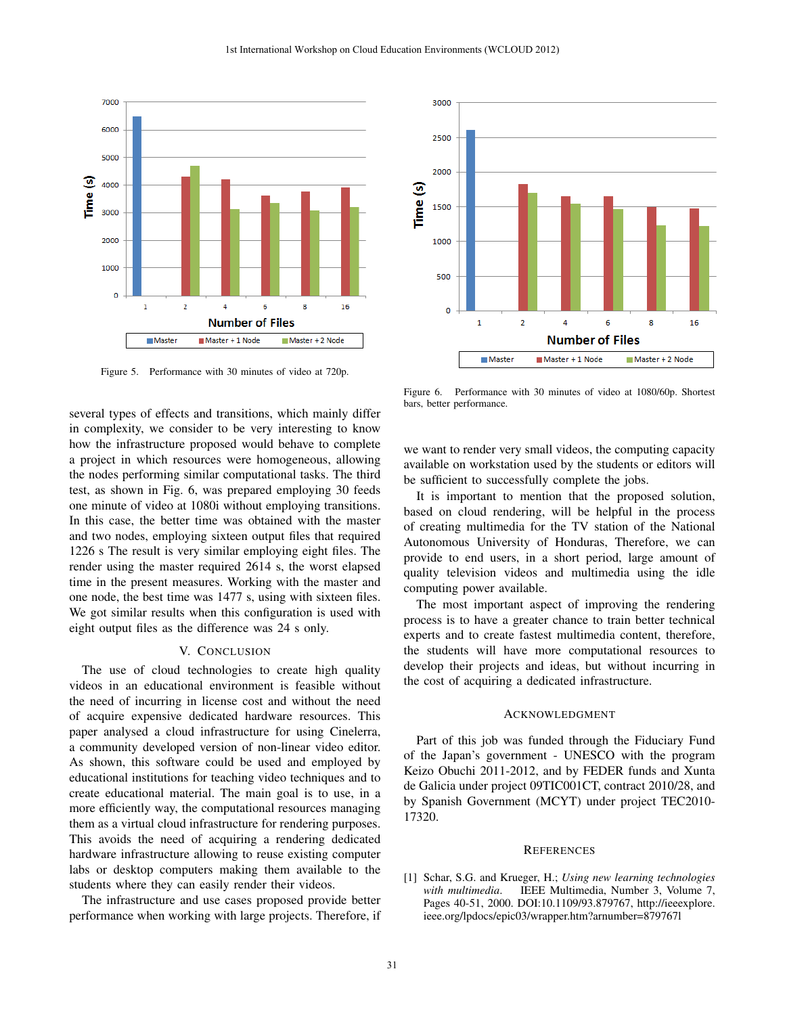

Figure 5. Performance with 30 minutes of video at 720p.

several types of effects and transitions, which mainly differ in complexity, we consider to be very interesting to know how the infrastructure proposed would behave to complete a project in which resources were homogeneous, allowing the nodes performing similar computational tasks. The third test, as shown in Fig. 6, was prepared employing 30 feeds one minute of video at 1080i without employing transitions. In this case, the better time was obtained with the master and two nodes, employing sixteen output files that required 1226 s The result is very similar employing eight files. The render using the master required 2614 s, the worst elapsed time in the present measures. Working with the master and one node, the best time was 1477 s, using with sixteen files. We got similar results when this configuration is used with eight output files as the difference was 24 s only.

#### V. CONCLUSION

The use of cloud technologies to create high quality videos in an educational environment is feasible without the need of incurring in license cost and without the need of acquire expensive dedicated hardware resources. This paper analysed a cloud infrastructure for using Cinelerra, a community developed version of non-linear video editor. As shown, this software could be used and employed by educational institutions for teaching video techniques and to create educational material. The main goal is to use, in a more efficiently way, the computational resources managing them as a virtual cloud infrastructure for rendering purposes. This avoids the need of acquiring a rendering dedicated hardware infrastructure allowing to reuse existing computer labs or desktop computers making them available to the students where they can easily render their videos.

The infrastructure and use cases proposed provide better performance when working with large projects. Therefore, if



Figure 6. Performance with 30 minutes of video at 1080/60p. Shortest bars, better performance.

we want to render very small videos, the computing capacity available on workstation used by the students or editors will be sufficient to successfully complete the jobs.

It is important to mention that the proposed solution, based on cloud rendering, will be helpful in the process of creating multimedia for the TV station of the National Autonomous University of Honduras, Therefore, we can provide to end users, in a short period, large amount of quality television videos and multimedia using the idle computing power available.

The most important aspect of improving the rendering process is to have a greater chance to train better technical experts and to create fastest multimedia content, therefore, the students will have more computational resources to develop their projects and ideas, but without incurring in the cost of acquiring a dedicated infrastructure.

## ACKNOWLEDGMENT

Part of this job was funded through the Fiduciary Fund of the Japan's government - UNESCO with the program Keizo Obuchi 2011-2012, and by FEDER funds and Xunta de Galicia under project 09TIC001CT, contract 2010/28, and by Spanish Government (MCYT) under project TEC2010- 17320.

#### **REFERENCES**

[1] Schar, S.G. and Krueger, H.; *Using new learning technologies with multimedia*. IEEE Multimedia, Number 3, Volume 7, Pages 40-51, 2000. DOI:10.1109/93.879767, http://ieeexplore. ieee.org/lpdocs/epic03/wrapper.htm?arnumber=879767l